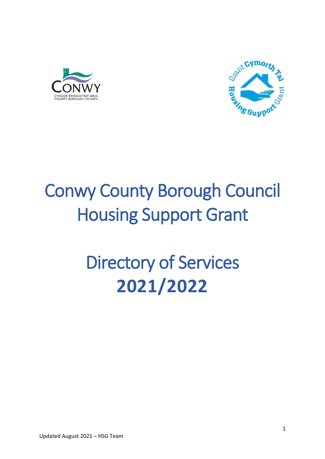



# Conwy County Borough Council Housing Support Grant

# Directory of Services **2021/2022**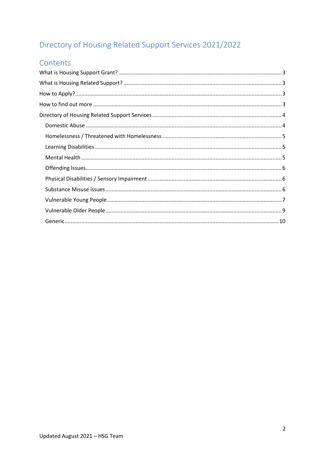## Directory of Housing Related Support Services 2021/2022

#### Contents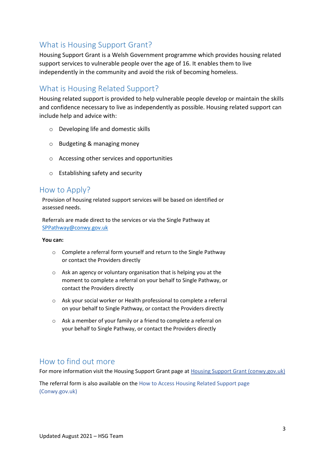#### <span id="page-2-0"></span>What is Housing Support Grant?

Housing Support Grant is a Welsh Government programme which provides housing related support services to vulnerable people over the age of 16. It enables them to live independently in the community and avoid the risk of becoming homeless.

#### <span id="page-2-1"></span>What is Housing Related Support?

Housing related support is provided to help vulnerable people develop or maintain the skills and confidence necessary to live as independently as possible. Housing related support can include help and advice with:

- o Developing life and domestic skills
- o Budgeting & managing money
- o Accessing other services and opportunities
- o Establishing safety and security

#### <span id="page-2-2"></span>How to Apply?

Provision of housing related support services will be based on identified or assessed needs.

Referrals are made direct to the services or via the Single Pathway at [SPPathway@conwy.gov.uk](mailto:SPPathway@conwy.gov.uk)

#### **You can:**

- o Complete a referral form yourself and return to the Single Pathway or contact the Providers directly
- o Ask an agency or voluntary organisation that is helping you at the moment to complete a referral on your behalf to Single Pathway, or contact the Providers directly
- o Ask your social worker or Health professional to complete a referral on your behalf to Single Pathway, or contact the Providers directly
- o Ask a member of your family or a friend to complete a referral on your behalf to Single Pathway, or contact the Providers directly

#### <span id="page-2-3"></span>How to find out more

For more information visit the Housing Support Grant page a[t Housing Support Grant \(conwy.gov.uk\)](https://www.conwy.gov.uk/en/Resident/Housing/Information-for-Tenants/Housing-Support-Grant/Supporting-People.aspx)

The referral form is also available on th[e How to Access Housing Related Support page](https://www.conwy.gov.uk/en/Resident/Housing/Information-for-Tenants/Housing-Support-Grant/How-to-access-Housing-Related-Support.aspx)  [\(Conwy.gov.uk\)](https://www.conwy.gov.uk/en/Resident/Housing/Information-for-Tenants/Housing-Support-Grant/How-to-access-Housing-Related-Support.aspx)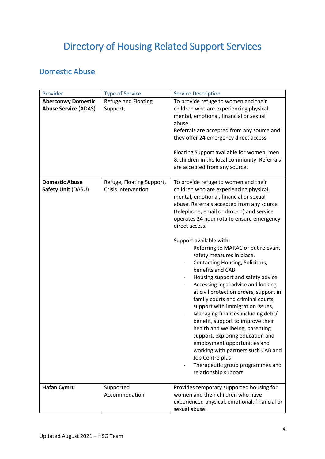# <span id="page-3-0"></span>Directory of Housing Related Support Services

## <span id="page-3-1"></span>Domestic Abuse

| Provider                                                 | <b>Type of Service</b>                           | <b>Service Description</b>                                                                                                                                                                                                                                                                                                                                                                                                                                                                                                                                                                                                                                                                                                                                                                                                                                                                                                                    |
|----------------------------------------------------------|--------------------------------------------------|-----------------------------------------------------------------------------------------------------------------------------------------------------------------------------------------------------------------------------------------------------------------------------------------------------------------------------------------------------------------------------------------------------------------------------------------------------------------------------------------------------------------------------------------------------------------------------------------------------------------------------------------------------------------------------------------------------------------------------------------------------------------------------------------------------------------------------------------------------------------------------------------------------------------------------------------------|
| <b>Aberconwy Domestic</b><br><b>Abuse Service (ADAS)</b> | Refuge and Floating<br>Support,                  | To provide refuge to women and their<br>children who are experiencing physical,<br>mental, emotional, financial or sexual<br>abuse.<br>Referrals are accepted from any source and<br>they offer 24 emergency direct access.<br>Floating Support available for women, men<br>& children in the local community. Referrals<br>are accepted from any source.                                                                                                                                                                                                                                                                                                                                                                                                                                                                                                                                                                                     |
| <b>Domestic Abuse</b><br>Safety Unit (DASU)              | Refuge, Floating Support,<br>Crisis intervention | To provide refuge to women and their<br>children who are experiencing physical,<br>mental, emotional, financial or sexual<br>abuse. Referrals accepted from any source<br>(telephone, email or drop-in) and service<br>operates 24 hour rota to ensure emergency<br>direct access.<br>Support available with:<br>Referring to MARAC or put relevant<br>safety measures in place.<br>Contacting Housing, Solicitors,<br>benefits and CAB.<br>Housing support and safety advice<br>Accessing legal advice and looking<br>at civil protection orders, support in<br>family courts and criminal courts,<br>support with immigration issues,<br>Managing finances including debt/<br>benefit, support to improve their<br>health and wellbeing, parenting<br>support, exploring education and<br>employment opportunities and<br>working with partners such CAB and<br>Job Centre plus<br>Therapeutic group programmes and<br>relationship support |
| <b>Hafan Cymru</b>                                       | Supported<br>Accommodation                       | Provides temporary supported housing for<br>women and their children who have<br>experienced physical, emotional, financial or<br>sexual abuse.                                                                                                                                                                                                                                                                                                                                                                                                                                                                                                                                                                                                                                                                                                                                                                                               |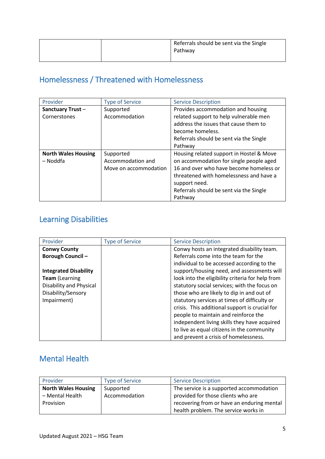|  | Referrals should be sent via the Single<br>Pathway |
|--|----------------------------------------------------|
|  |                                                    |

### <span id="page-4-0"></span>Homelessness / Threatened with Homelessness

| Provider                   | <b>Type of Service</b> | <b>Service Description</b>               |
|----------------------------|------------------------|------------------------------------------|
| Sanctuary Trust-           | Supported              | Provides accommodation and housing       |
| Cornerstones               | Accommodation          | related support to help vulnerable men   |
|                            |                        | address the issues that cause them to    |
|                            |                        | become homeless.                         |
|                            |                        | Referrals should be sent via the Single  |
|                            |                        | Pathway                                  |
| <b>North Wales Housing</b> | Supported              | Housing related support in Hostel & Move |
| – Noddfa                   | Accommodation and      | on accommodation for single people aged  |
|                            | Move on accommodation  | 16 and over who have become homeless or  |
|                            |                        | threatened with homelessness and have a  |
|                            |                        | support need.                            |
|                            |                        | Referrals should be sent via the Single  |
|                            |                        | Pathway                                  |

### <span id="page-4-1"></span>Learning Disabilities

| Provider                     | <b>Type of Service</b> | <b>Service Description</b>                       |
|------------------------------|------------------------|--------------------------------------------------|
| <b>Conwy County</b>          |                        | Conwy hosts an integrated disability team.       |
| <b>Borough Council-</b>      |                        | Referrals come into the team for the             |
|                              |                        | individual to be accessed according to the       |
| <b>Integrated Disability</b> |                        | support/housing need, and assessments will       |
| <b>Team</b> (Learning        |                        | look into the eligibility criteria for help from |
| Disability and Physical      |                        | statutory social services; with the focus on     |
| Disability/Sensory           |                        | those who are likely to dip in and out of        |
| Impairment)                  |                        | statutory services at times of difficulty or     |
|                              |                        | crisis. This additional support is crucial for   |
|                              |                        | people to maintain and reinforce the             |
|                              |                        | independent living skills they have acquired     |
|                              |                        | to live as equal citizens in the community       |
|                              |                        | and prevent a crisis of homelessness.            |

#### <span id="page-4-2"></span>Mental Health

| Provider                   | <b>Type of Service</b> | <b>Service Description</b>                 |
|----------------------------|------------------------|--------------------------------------------|
| <b>North Wales Housing</b> | Supported              | The service is a supported accommodation   |
| - Mental Health            | Accommodation          | provided for those clients who are         |
| Provision                  |                        | recovering from or have an enduring mental |
|                            |                        | health problem. The service works in       |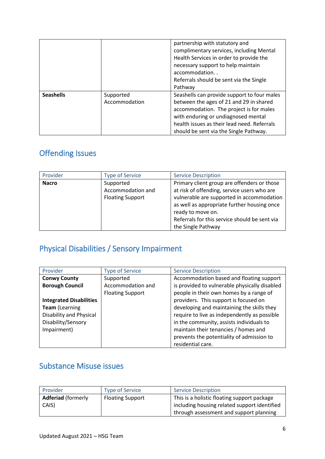|                  |                            | partnership with statutory and<br>complimentary services, including Mental<br>Health Services in order to provide the<br>necessary support to help maintain<br>accommodation<br>Referrals should be sent via the Single<br>Pathway                                |
|------------------|----------------------------|-------------------------------------------------------------------------------------------------------------------------------------------------------------------------------------------------------------------------------------------------------------------|
| <b>Seashells</b> | Supported<br>Accommodation | Seashells can provide support to four males<br>between the ages of 21 and 29 in shared<br>accommodation. The project is for males<br>with enduring or undiagnosed mental<br>health issues as their lead need. Referrals<br>should be sent via the Single Pathway. |

## <span id="page-5-0"></span>Offending Issues

| Provider     | <b>Type of Service</b>                                    | <b>Service Description</b>                                                                                                                                                                                                                                   |
|--------------|-----------------------------------------------------------|--------------------------------------------------------------------------------------------------------------------------------------------------------------------------------------------------------------------------------------------------------------|
| <b>Nacro</b> | Supported<br>Accommodation and<br><b>Floating Support</b> | Primary client group are offenders or those<br>at risk of offending, service users who are<br>vulnerable are supported in accommodation<br>as well as appropriate further housing once<br>ready to move on.<br>Referrals for this service should be sent via |
|              |                                                           | the Single Pathway                                                                                                                                                                                                                                           |

## <span id="page-5-1"></span>Physical Disabilities / Sensory Impairment

| Provider                       | <b>Type of Service</b>  | <b>Service Description</b>                    |
|--------------------------------|-------------------------|-----------------------------------------------|
| <b>Conwy County</b>            | Supported               | Accommodation based and floating support      |
| <b>Borough Council</b>         | Accommodation and       | is provided to vulnerable physically disabled |
|                                | <b>Floating Support</b> | people in their own homes by a range of       |
| <b>Integrated Disabilities</b> |                         | providers. This support is focused on         |
| Team (Learning                 |                         | developing and maintaining the skills they    |
| Disability and Physical        |                         | require to live as independently as possible  |
| Disability/Sensory             |                         | in the community, assists individuals to      |
| Impairment)                    |                         | maintain their tenancies / homes and          |
|                                |                         | prevents the potentiality of admission to     |
|                                |                         | residential care.                             |

#### <span id="page-5-2"></span>Substance Misuse issues

| Provider                  | <b>Type of Service</b>  | <b>Service Description</b>                   |
|---------------------------|-------------------------|----------------------------------------------|
| <b>Adferiad</b> (formerly | <b>Floating Support</b> | This is a holistic floating support package  |
| CAIS)                     |                         | including housing related support identified |
|                           |                         | through assessment and support planning      |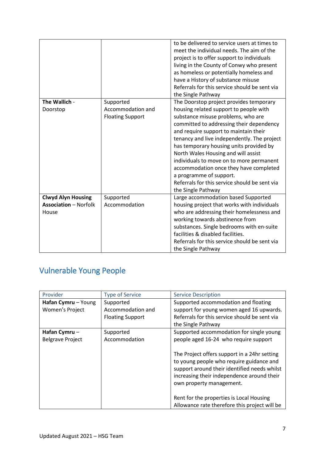|                              |                         | to be delivered to service users at times to<br>meet the individual needs. The aim of the<br>project is to offer support to individuals<br>living in the County of Conwy who present<br>as homeless or potentially homeless and<br>have a History of substance misuse<br>Referrals for this service should be sent via<br>the Single Pathway |
|------------------------------|-------------------------|----------------------------------------------------------------------------------------------------------------------------------------------------------------------------------------------------------------------------------------------------------------------------------------------------------------------------------------------|
| The Wallich -                | Supported               | The Doorstop project provides temporary                                                                                                                                                                                                                                                                                                      |
| Doorstop                     | Accommodation and       | housing related support to people with                                                                                                                                                                                                                                                                                                       |
|                              | <b>Floating Support</b> | substance misuse problems, who are                                                                                                                                                                                                                                                                                                           |
|                              |                         | committed to addressing their dependency<br>and require support to maintain their                                                                                                                                                                                                                                                            |
|                              |                         | tenancy and live independently. The project                                                                                                                                                                                                                                                                                                  |
|                              |                         | has temporary housing units provided by                                                                                                                                                                                                                                                                                                      |
|                              |                         | North Wales Housing and will assist                                                                                                                                                                                                                                                                                                          |
|                              |                         | individuals to move on to more permanent                                                                                                                                                                                                                                                                                                     |
|                              |                         | accommodation once they have completed                                                                                                                                                                                                                                                                                                       |
|                              |                         | a programme of support.                                                                                                                                                                                                                                                                                                                      |
|                              |                         | Referrals for this service should be sent via                                                                                                                                                                                                                                                                                                |
|                              |                         | the Single Pathway                                                                                                                                                                                                                                                                                                                           |
| <b>Clwyd Alyn Housing</b>    | Supported               | Large accommodation based Supported                                                                                                                                                                                                                                                                                                          |
| <b>Association - Norfolk</b> | Accommodation           | housing project that works with individuals                                                                                                                                                                                                                                                                                                  |
| House                        |                         | who are addressing their homelessness and                                                                                                                                                                                                                                                                                                    |
|                              |                         | working towards abstinence from                                                                                                                                                                                                                                                                                                              |
|                              |                         | substances. Single bedrooms with en-suite<br>facilities & disabled facilities.                                                                                                                                                                                                                                                               |
|                              |                         | Referrals for this service should be sent via                                                                                                                                                                                                                                                                                                |
|                              |                         | the Single Pathway                                                                                                                                                                                                                                                                                                                           |

## <span id="page-6-0"></span>Vulnerable Young People

| Provider                | <b>Type of Service</b>  | <b>Service Description</b>                                                                                                                                                                                                                                                                                      |
|-------------------------|-------------------------|-----------------------------------------------------------------------------------------------------------------------------------------------------------------------------------------------------------------------------------------------------------------------------------------------------------------|
| Hafan Cymru - Young     | Supported               | Supported accommodation and floating                                                                                                                                                                                                                                                                            |
| Women's Project         | Accommodation and       | support for young women aged 16 upwards.                                                                                                                                                                                                                                                                        |
|                         | <b>Floating Support</b> | Referrals for this service should be sent via                                                                                                                                                                                                                                                                   |
|                         |                         | the Single Pathway                                                                                                                                                                                                                                                                                              |
| Hafan Cymru -           | Supported               | Supported accommodation for single young                                                                                                                                                                                                                                                                        |
| <b>Belgrave Project</b> | Accommodation           | people aged 16-24 who require support                                                                                                                                                                                                                                                                           |
|                         |                         | The Project offers support in a 24hr setting<br>to young people who require guidance and<br>support around their identified needs whilst<br>increasing their independence around their<br>own property management.<br>Rent for the properties is Local Housing<br>Allowance rate therefore this project will be |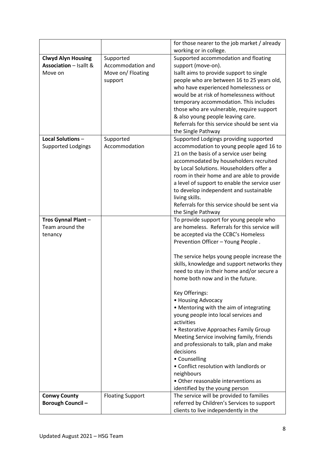|                           |                         | for those nearer to the job market / already  |
|---------------------------|-------------------------|-----------------------------------------------|
|                           |                         | working or in college.                        |
| <b>Clwyd Alyn Housing</b> | Supported               | Supported accommodation and floating          |
| Association - Isallt &    | Accommodation and       | support (move-on).                            |
| Move on                   | Move on/ Floating       | Isallt aims to provide support to single      |
|                           | support                 | people who are between 16 to 25 years old,    |
|                           |                         | who have experienced homelessness or          |
|                           |                         | would be at risk of homelessness without      |
|                           |                         | temporary accommodation. This includes        |
|                           |                         | those who are vulnerable, require support     |
|                           |                         | & also young people leaving care.             |
|                           |                         | Referrals for this service should be sent via |
|                           |                         | the Single Pathway                            |
| Local Solutions -         | Supported               | Supported Lodgings providing supported        |
| <b>Supported Lodgings</b> | Accommodation           | accommodation to young people aged 16 to      |
|                           |                         | 21 on the basis of a service user being       |
|                           |                         | accommodated by householders recruited        |
|                           |                         | by Local Solutions. Householders offer a      |
|                           |                         | room in their home and are able to provide    |
|                           |                         | a level of support to enable the service user |
|                           |                         | to develop independent and sustainable        |
|                           |                         | living skills.                                |
|                           |                         | Referrals for this service should be sent via |
|                           |                         | the Single Pathway                            |
| Tros Gynnal Plant -       |                         | To provide support for young people who       |
| Team around the           |                         | are homeless. Referrals for this service will |
| tenancy                   |                         | be accepted via the CCBC's Homeless           |
|                           |                         | Prevention Officer - Young People.            |
|                           |                         | The service helps young people increase the   |
|                           |                         | skills, knowledge and support networks they   |
|                           |                         | need to stay in their home and/or secure a    |
|                           |                         | home both now and in the future.              |
|                           |                         |                                               |
|                           |                         | Key Offerings:                                |
|                           |                         | • Housing Advocacy                            |
|                           |                         | • Mentoring with the aim of integrating       |
|                           |                         | young people into local services and          |
|                           |                         | activities                                    |
|                           |                         | • Restorative Approaches Family Group         |
|                           |                         | Meeting Service involving family, friends     |
|                           |                         | and professionals to talk, plan and make      |
|                           |                         | decisions                                     |
|                           |                         | • Counselling                                 |
|                           |                         | • Conflict resolution with landlords or       |
|                           |                         | neighbours                                    |
|                           |                         | • Other reasonable interventions as           |
|                           |                         | identified by the young person                |
| <b>Conwy County</b>       | <b>Floating Support</b> | The service will be provided to families      |
| <b>Borough Council-</b>   |                         | referred by Children's Services to support    |
|                           |                         | clients to live independently in the          |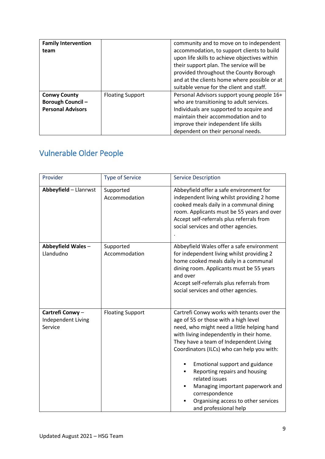| <b>Family Intervention</b><br>team                                         |                         | community and to move on to independent<br>accommodation, to support clients to build<br>upon life skills to achieve objectives within<br>their support plan. The service will be<br>provided throughout the County Borough<br>and at the clients home where possible or at<br>suitable venue for the client and staff. |
|----------------------------------------------------------------------------|-------------------------|-------------------------------------------------------------------------------------------------------------------------------------------------------------------------------------------------------------------------------------------------------------------------------------------------------------------------|
| <b>Conwy County</b><br><b>Borough Council-</b><br><b>Personal Advisors</b> | <b>Floating Support</b> | Personal Advisors support young people 16+<br>who are transitioning to adult services.<br>Individuals are supported to acquire and<br>maintain their accommodation and to<br>improve their independent life skills<br>dependent on their personal needs.                                                                |

## <span id="page-8-0"></span>Vulnerable Older People

| Provider                                         | <b>Type of Service</b>     | <b>Service Description</b>                                                                                                                                                                                                                                                                                                                                                                                                                                                                |
|--------------------------------------------------|----------------------------|-------------------------------------------------------------------------------------------------------------------------------------------------------------------------------------------------------------------------------------------------------------------------------------------------------------------------------------------------------------------------------------------------------------------------------------------------------------------------------------------|
| Abbeyfield - Llanrwst                            | Supported<br>Accommodation | Abbeyfield offer a safe environment for<br>independent living whilst providing 2 home<br>cooked meals daily in a communal dining<br>room. Applicants must be 55 years and over<br>Accept self-referrals plus referrals from<br>social services and other agencies.                                                                                                                                                                                                                        |
| Abbeyfield Wales -<br>Llandudno                  | Supported<br>Accommodation | Abbeyfield Wales offer a safe environment<br>for independent living whilst providing 2<br>home cooked meals daily in a communal<br>dining room. Applicants must be 55 years<br>and over<br>Accept self-referrals plus referrals from<br>social services and other agencies.                                                                                                                                                                                                               |
| Cartrefi Conwy-<br>Independent Living<br>Service | <b>Floating Support</b>    | Cartrefi Conwy works with tenants over the<br>age of 55 or those with a high level<br>need, who might need a little helping hand<br>with living independently in their home.<br>They have a team of Independent Living<br>Coordinators (ILCs) who can help you with:<br>Emotional support and guidance<br>Reporting repairs and housing<br>٠<br>related issues<br>Managing important paperwork and<br>correspondence<br>Organising access to other services<br>٠<br>and professional help |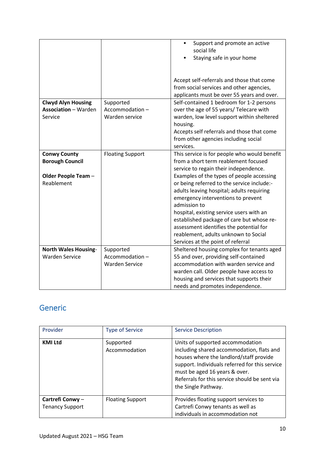|                                                      |                                         | Support and promote an active<br>٠<br>social life<br>Staying safe in your home<br>Accept self-referrals and those that come<br>from social services and other agencies,<br>applicants must be over 55 years and over. |
|------------------------------------------------------|-----------------------------------------|-----------------------------------------------------------------------------------------------------------------------------------------------------------------------------------------------------------------------|
| <b>Clwyd Alyn Housing</b>                            | Supported                               | Self-contained 1 bedroom for 1-2 persons                                                                                                                                                                              |
| <b>Association - Warden</b>                          | Accommodation-                          | over the age of 55 years/ Telecare with                                                                                                                                                                               |
| Service                                              | Warden service                          | warden, low level support within sheltered                                                                                                                                                                            |
|                                                      |                                         | housing.                                                                                                                                                                                                              |
|                                                      |                                         | Accepts self referrals and those that come<br>from other agencies including social                                                                                                                                    |
|                                                      |                                         | services.                                                                                                                                                                                                             |
| <b>Conwy County</b>                                  | <b>Floating Support</b>                 | This service is for people who would benefit                                                                                                                                                                          |
| <b>Borough Council</b>                               |                                         | from a short term reablement focused                                                                                                                                                                                  |
|                                                      |                                         | service to regain their independence.                                                                                                                                                                                 |
| Older People Team -<br>Reablement                    |                                         | Examples of the types of people accessing                                                                                                                                                                             |
|                                                      |                                         | or being referred to the service include:-<br>adults leaving hospital; adults requiring                                                                                                                               |
|                                                      |                                         | emergency interventions to prevent                                                                                                                                                                                    |
|                                                      |                                         | admission to                                                                                                                                                                                                          |
|                                                      |                                         | hospital, existing service users with an                                                                                                                                                                              |
|                                                      |                                         | established package of care but whose re-                                                                                                                                                                             |
|                                                      |                                         | assessment identifies the potential for                                                                                                                                                                               |
|                                                      |                                         | reablement, adults unknown to Social                                                                                                                                                                                  |
|                                                      |                                         | Services at the point of referral                                                                                                                                                                                     |
| <b>North Wales Housing-</b><br><b>Warden Service</b> | Supported                               | Sheltered housing complex for tenants aged                                                                                                                                                                            |
|                                                      | Accommodation-<br><b>Warden Service</b> | 55 and over, providing self-contained<br>accommodation with warden service and                                                                                                                                        |
|                                                      |                                         | warden call. Older people have access to                                                                                                                                                                              |
|                                                      |                                         | housing and services that supports their                                                                                                                                                                              |
|                                                      |                                         | needs and promotes independence.                                                                                                                                                                                      |

#### <span id="page-9-0"></span>Generic

| Provider                                  | <b>Type of Service</b>     | <b>Service Description</b>                                                                                                                                                                                                                                                          |
|-------------------------------------------|----------------------------|-------------------------------------------------------------------------------------------------------------------------------------------------------------------------------------------------------------------------------------------------------------------------------------|
| <b>KMI Ltd</b>                            | Supported<br>Accommodation | Units of supported accommodation<br>including shared accommodation, flats and<br>houses where the landlord/staff provide<br>support. Individuals referred for this service<br>must be aged 16 years & over.<br>Referrals for this service should be sent via<br>the Single Pathway. |
| Cartrefi Conwy-<br><b>Tenancy Support</b> | <b>Floating Support</b>    | Provides floating support services to<br>Cartrefi Conwy tenants as well as<br>individuals in accommodation not                                                                                                                                                                      |